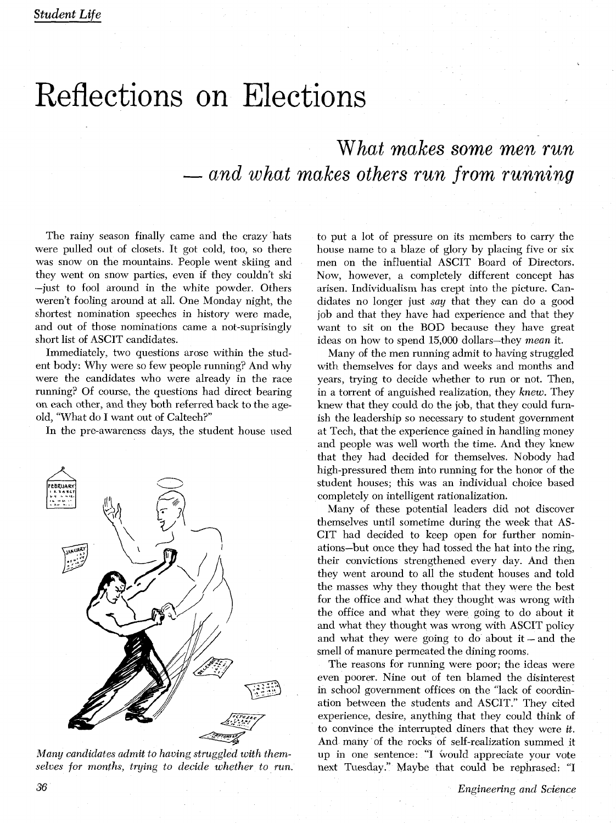## Reflections on Elections

*What makes*  **some** *men run*  - *and what* makes **others** *run*  **from** *running* 

The rainy season finally came and the crazy hats were pulled out of closets. It got cold, too, so there was snow on the mountains. People went skiing and they went on snow parties, even if they couldn't ski -just to fool around in the white powder. Others weren't fooling around at all. One Monday night, the shortest nomination speeches in history were made, and out of those nominations came a not-suprisingly short list of ASCIT candidates.

Immediately, two questions arose within the student body: Why were so few people running? And why were the candidates who were already in the race running? Of course, the questions had direct bearing on each other, and they both referred back to the ageold, "What do I want out of Caltech?"

In the pre-awareness days, the student house used



*Many candidates admit to having struggled with themselves for months, tryins, to decide whether to run.* 

to put a lot of pressure on its members to carry the house name to a blaze of glory by placing five or six men on the influential ASCIT Board of Directors. Now, however, a completely different concept has arisen. Individualism has crept into the picture. Candidates no longer just *say* that they can do a good job and that they have had experience and that they want to sit on the BOD because they have great ideas on how to spend 15,000 dollars-they *mean* it.

Many of the men running admit to having struggled with themselves for days and weeks and months and years, trying to decide whether to run or not. Then, in a torrent of anguished realization, they *knew.* They knew that they could do the job, that they could furnish the leadership so necessary to student government at Tech, that the experience gained in handling money and people was well worth the time. And they knew that they had decided for themselves. Nobody had high-pressured them into running for the honor of the student houses; this was an individual choice based completely on intelligent rationalization.

Many of these potential leaders did not discover themselves until sometime during the week that **AS-**CIT had decided to keep open for further nominations-but once they had tossed the hat into the ring, their convictions strengthened every day. And then they went around to all the student houses and told the masses why they thought that they were the best for the office and what they thought was wrong with the office and what they were going to do about it and what they thought was wrong with ASCIT policy and what they were going to do about  $it$  - and the smell of manure permeated the dining rooms.

The reasons for running were poor; the ideas were even poorer. Nine out of ten blamed the disinterest in school government offices on the "lack of coordination between the students and ASCIT." They cited experience, desire, anything that they could think of to convince the interrupted diners that they were *it.*  And many of the rocks of self-realization summed it up in one sentence: "I would appreciate your vote next Tuesday." Maybe that could be rephrased: "I